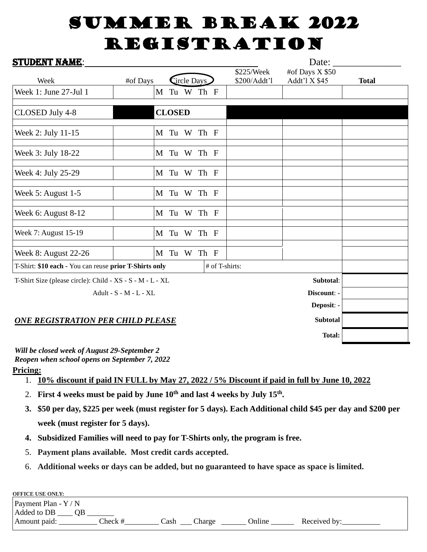## SUMMER BREAK 2022 **REGISTRATION**

| <b>STUDENT NAME:</b>                                      |                        |               |                |              | Date:           |              |
|-----------------------------------------------------------|------------------------|---------------|----------------|--------------|-----------------|--------------|
|                                                           |                        |               |                | \$225/Week   | #of Days X \$50 |              |
| Week                                                      | #of Days               | Circle Days   |                | \$200/Addt'l | Addt'l X \$45   | <b>Total</b> |
| Week 1: June 27-Jul 1                                     |                        | M Tu W Th F   |                |              |                 |              |
| CLOSED July 4-8                                           |                        | <b>CLOSED</b> |                |              |                 |              |
| Week 2: July 11-15                                        |                        | M Tu W Th F   |                |              |                 |              |
| Week 3: July 18-22                                        |                        | M Tu W Th F   |                |              |                 |              |
| Week 4: July 25-29                                        |                        | M Tu W Th F   |                |              |                 |              |
| Week 5: August 1-5                                        |                        | M Tu W Th F   |                |              |                 |              |
| Week 6: August 8-12                                       |                        | M Tu W Th F   |                |              |                 |              |
| Week 7: August 15-19                                      |                        | M Tu W Th F   |                |              |                 |              |
| Week 8: August 22-26                                      |                        | M Tu W Th F   |                |              |                 |              |
| T-Shirt: \$10 each - You can reuse prior T-Shirts only    |                        |               | # of T-shirts: |              |                 |              |
| T-Shirt Size (please circle): Child - XS - S - M - L - XL | Subtotal:              |               |                |              |                 |              |
|                                                           | Adult - S - M - L - XL |               |                |              | Discount: -     |              |
|                                                           |                        |               |                |              | Deposit: -      |              |
| <b>ONE REGISTRATION PER CHILD PLEASE</b>                  |                        |               |                |              | <b>Subtotal</b> |              |
|                                                           |                        |               |                |              | <b>Total:</b>   |              |

*Will be closed week of August 29-September 2 Reopen when school opens on September 7, 2022*

**Pricing:**

- 1. **10% discount if paid IN FULL by May 27, 2022 / 5% Discount if paid in full by June 10, 2022**
- 2. **First 4 weeks must be paid by June 10th and last 4 weeks by July 15th .**
- **3. \$50 per day, \$225 per week (must register for 5 days). Each Additional child \$45 per day and \$200 per week (must register for 5 days).**
- **4. Subsidized Families will need to pay for T-Shirts only, the program is free.**
- 5. **Payment plans available. Most credit cards accepted.**
- 6. **Additional weeks or days can be added, but no guaranteed to have space as space is limited.**

| <b>OFFICE USE ONLY:</b> |         |      |        |        |              |
|-------------------------|---------|------|--------|--------|--------------|
| Payment Plan - $Y/N$    |         |      |        |        |              |
| Added to DB<br>OΒ       |         |      |        |        |              |
| Amount paid:            | Check # | ≥ash | Charge | Online | Received by: |